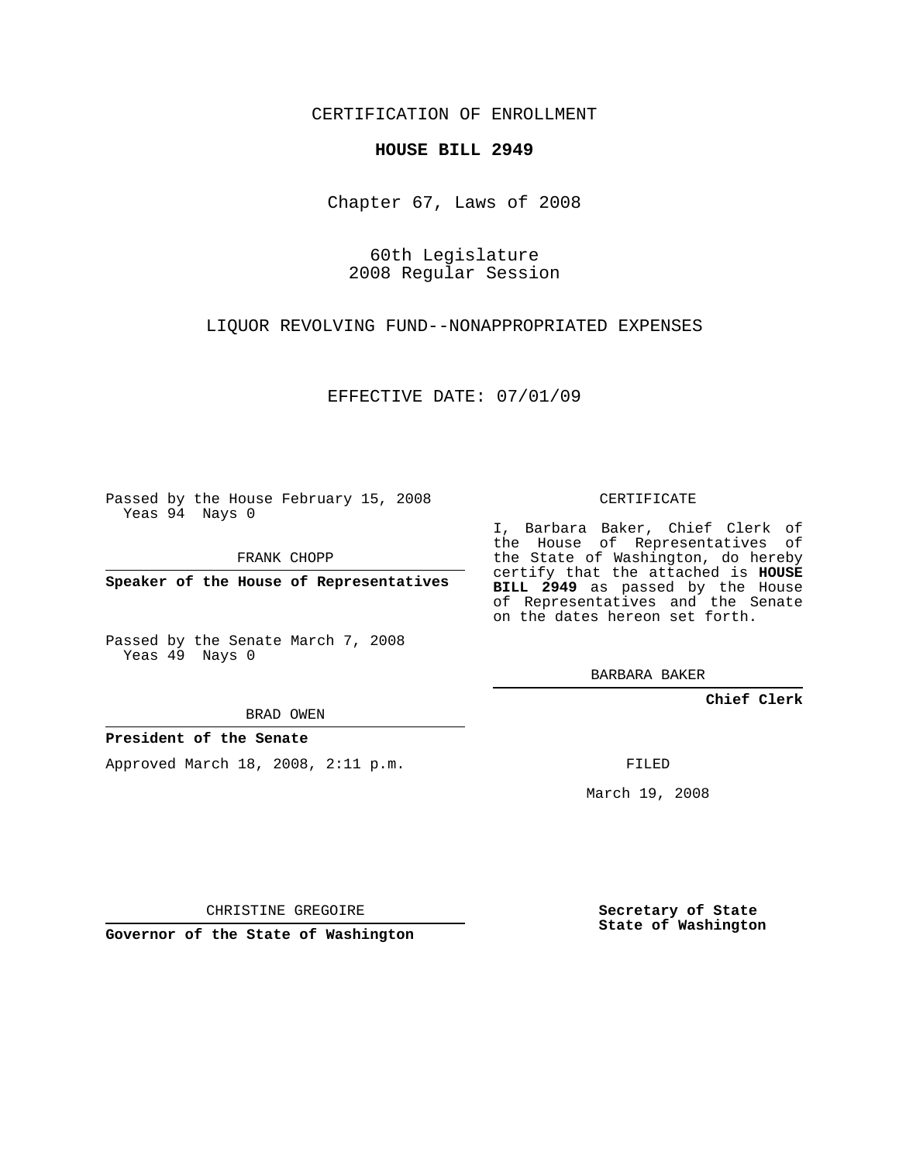CERTIFICATION OF ENROLLMENT

## **HOUSE BILL 2949**

Chapter 67, Laws of 2008

60th Legislature 2008 Regular Session

LIQUOR REVOLVING FUND--NONAPPROPRIATED EXPENSES

EFFECTIVE DATE: 07/01/09

Passed by the House February 15, 2008 Yeas 94 Nays 0

FRANK CHOPP

**Speaker of the House of Representatives**

Passed by the Senate March 7, 2008 Yeas 49 Nays 0

BRAD OWEN

**President of the Senate**

Approved March 18, 2008, 2:11 p.m.

CERTIFICATE

I, Barbara Baker, Chief Clerk of the House of Representatives of the State of Washington, do hereby certify that the attached is **HOUSE BILL 2949** as passed by the House of Representatives and the Senate on the dates hereon set forth.

BARBARA BAKER

**Chief Clerk**

FILED

March 19, 2008

CHRISTINE GREGOIRE

**Governor of the State of Washington**

**Secretary of State State of Washington**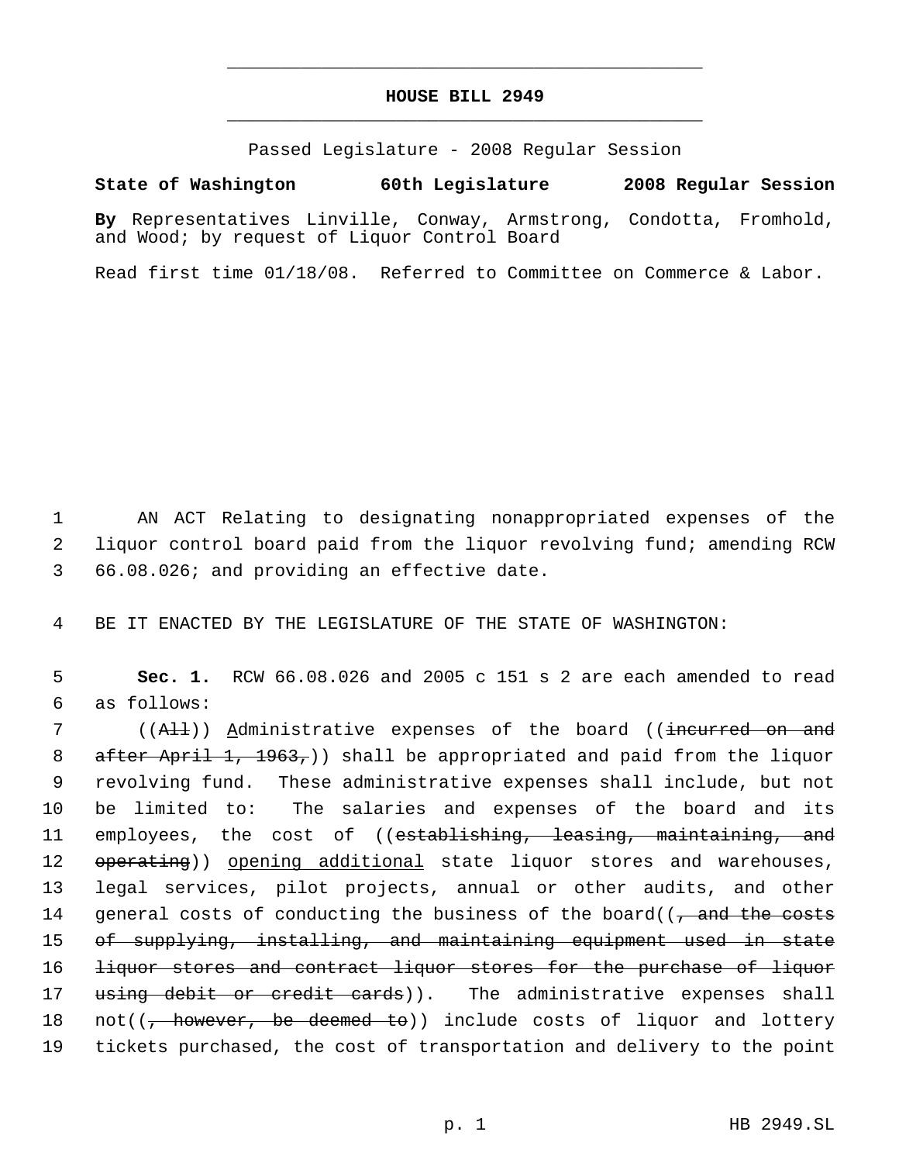## **HOUSE BILL 2949** \_\_\_\_\_\_\_\_\_\_\_\_\_\_\_\_\_\_\_\_\_\_\_\_\_\_\_\_\_\_\_\_\_\_\_\_\_\_\_\_\_\_\_\_\_

\_\_\_\_\_\_\_\_\_\_\_\_\_\_\_\_\_\_\_\_\_\_\_\_\_\_\_\_\_\_\_\_\_\_\_\_\_\_\_\_\_\_\_\_\_

Passed Legislature - 2008 Regular Session

## **State of Washington 60th Legislature 2008 Regular Session**

**By** Representatives Linville, Conway, Armstrong, Condotta, Fromhold, and Wood; by request of Liquor Control Board

Read first time 01/18/08. Referred to Committee on Commerce & Labor.

 1 AN ACT Relating to designating nonappropriated expenses of the 2 liquor control board paid from the liquor revolving fund; amending RCW 3 66.08.026; and providing an effective date.

4 BE IT ENACTED BY THE LEGISLATURE OF THE STATE OF WASHINGTON:

 5 **Sec. 1.** RCW 66.08.026 and 2005 c 151 s 2 are each amended to read 6 as follows:

7 ((<del>All</del>)) Administrative expenses of the board ((<del>incurred on and</del> 8 after April 1, 1963,)) shall be appropriated and paid from the liquor 9 revolving fund. These administrative expenses shall include, but not 10 be limited to: The salaries and expenses of the board and its 11 employees, the cost of ((e<del>stablishing, leasing, maintaining, and</del> 12 operating)) opening additional state liquor stores and warehouses, 13 legal services, pilot projects, annual or other audits, and other 14 general costs of conducting the business of the board( $\sqrt{7}$  and the costs 15 of supplying, installing, and maintaining equipment used in state 16 liquor stores and contract liquor stores for the purchase of liquor 17 using debit or credit cards)). The administrative expenses shall 18 not((<del>, however, be deemed to</del>)) include costs of liquor and lottery 19 tickets purchased, the cost of transportation and delivery to the point